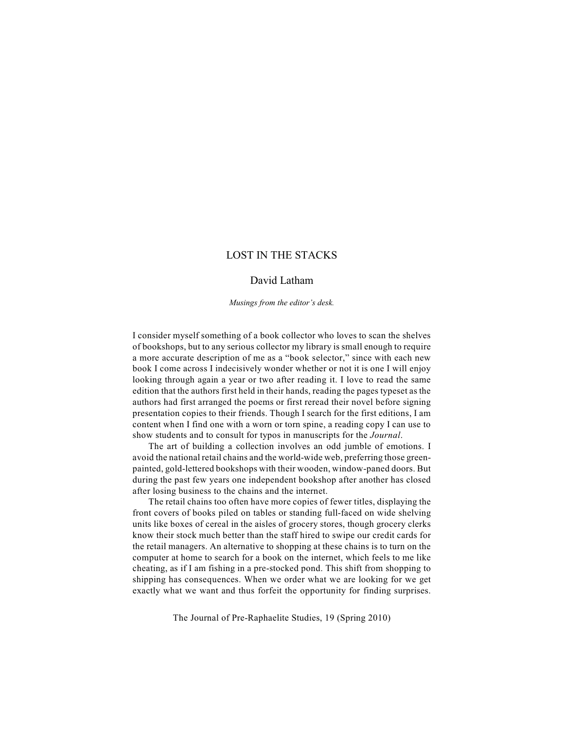# LOST IN THE STACKS

## David Latham

*Musings from the editor's desk.*

I consider myself something of a book collector who loves to scan the shelves of bookshops, but to any serious collector my library is small enough to require a more accurate description of me as a "book selector," since with each new book I come across I indecisively wonder whether or not it is one I will enjoy looking through again a year or two after reading it. I love to read the same edition that the authors first held in their hands, reading the pages typeset as the authors had first arranged the poems or first reread their novel before signing presentation copies to their friends. Though I search for the first editions, I am content when I find one with a worn or torn spine, a reading copy I can use to show students and to consult for typos in manuscripts for the *Journal*.

The art of building a collection involves an odd jumble of emotions. I avoid the national retail chains and the world-wide web, preferring those greenpainted, gold-lettered bookshops with their wooden, window-paned doors. But during the past few years one independent bookshop after another has closed after losing business to the chains and the internet.

The retail chains too often have more copies of fewer titles, displaying the front covers of books piled on tables or standing full-faced on wide shelving units like boxes of cereal in the aisles of grocery stores, though grocery clerks know their stock much better than the staff hired to swipe our credit cards for the retail managers. An alternative to shopping at these chains is to turn on the computer at home to search for a book on the internet, which feels to me like cheating, as if I am fishing in a pre-stocked pond. This shift from shopping to shipping has consequences. When we order what we are looking for we get exactly what we want and thus forfeit the opportunity for finding surprises.

The Journal of Pre-Raphaelite Studies, 19 (Spring 2010)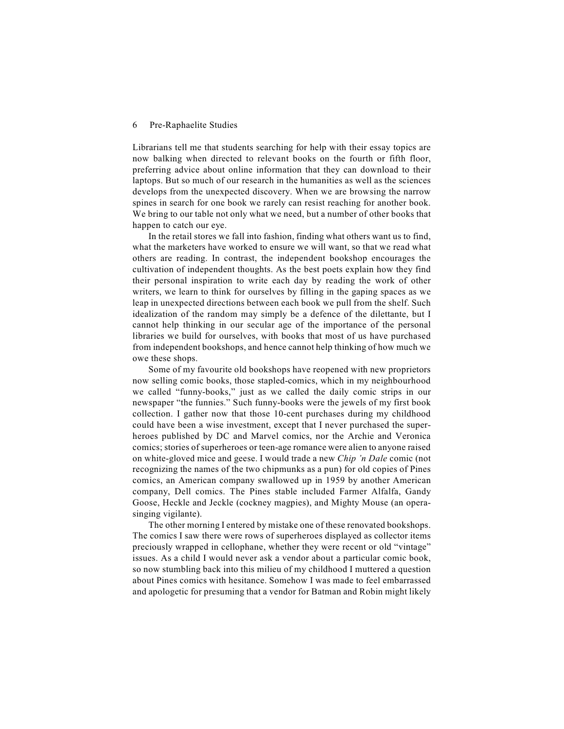#### 6 Pre-Raphaelite Studies

Librarians tell me that students searching for help with their essay topics are now balking when directed to relevant books on the fourth or fifth floor, preferring advice about online information that they can download to their laptops. But so much of our research in the humanities as well as the sciences develops from the unexpected discovery. When we are browsing the narrow spines in search for one book we rarely can resist reaching for another book. We bring to our table not only what we need, but a number of other books that happen to catch our eye.

In the retail stores we fall into fashion, finding what others want us to find, what the marketers have worked to ensure we will want, so that we read what others are reading. In contrast, the independent bookshop encourages the cultivation of independent thoughts. As the best poets explain how they find their personal inspiration to write each day by reading the work of other writers, we learn to think for ourselves by filling in the gaping spaces as we leap in unexpected directions between each book we pull from the shelf. Such idealization of the random may simply be a defence of the dilettante, but I cannot help thinking in our secular age of the importance of the personal libraries we build for ourselves, with books that most of us have purchased from independent bookshops, and hence cannot help thinking of how much we owe these shops.

Some of my favourite old bookshops have reopened with new proprietors now selling comic books, those stapled-comics, which in my neighbourhood we called "funny-books," just as we called the daily comic strips in our newspaper "the funnies." Such funny-books were the jewels of my first book collection. I gather now that those 10-cent purchases during my childhood could have been a wise investment, except that I never purchased the superheroes published by DC and Marvel comics, nor the Archie and Veronica comics; stories of superheroes or teen-age romance were alien to anyone raised on white-gloved mice and geese. I would trade a new *Chip 'n Dale* comic (not recognizing the names of the two chipmunks as a pun) for old copies of Pines comics, an American company swallowed up in 1959 by another American company, Dell comics. The Pines stable included Farmer Alfalfa, Gandy Goose, Heckle and Jeckle (cockney magpies), and Mighty Mouse (an operasinging vigilante).

The other morning I entered by mistake one of these renovated bookshops. The comics I saw there were rows of superheroes displayed as collector items preciously wrapped in cellophane, whether they were recent or old "vintage" issues. As a child I would never ask a vendor about a particular comic book, so now stumbling back into this milieu of my childhood I muttered a question about Pines comics with hesitance. Somehow I was made to feel embarrassed and apologetic for presuming that a vendor for Batman and Robin might likely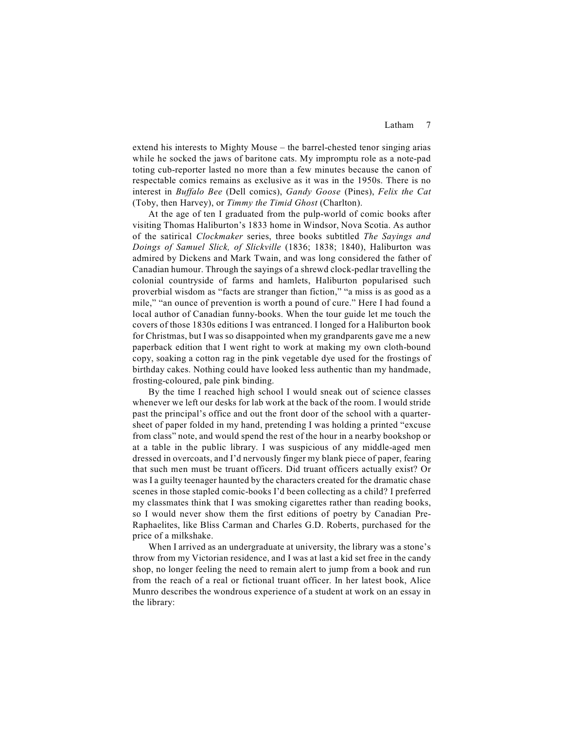### Latham 7

extend his interests to Mighty Mouse – the barrel-chested tenor singing arias while he socked the jaws of baritone cats. My impromptu role as a note-pad toting cub-reporter lasted no more than a few minutes because the canon of respectable comics remains as exclusive as it was in the 1950s. There is no interest in *Buffalo Bee* (Dell comics), *Gandy Goose* (Pines), *Felix the Cat* (Toby, then Harvey), or *Timmy the Timid Ghost* (Charlton).

At the age of ten I graduated from the pulp-world of comic books after visiting Thomas Haliburton's 1833 home in Windsor, Nova Scotia. As author of the satirical *Clockmaker* series, three books subtitled *The Sayings and Doings of Samuel Slick, of Slickville* (1836; 1838; 1840), Haliburton was admired by Dickens and Mark Twain, and was long considered the father of Canadian humour. Through the sayings of a shrewd clock-pedlar travelling the colonial countryside of farms and hamlets, Haliburton popularised such proverbial wisdom as "facts are stranger than fiction," "a miss is as good as a mile," "an ounce of prevention is worth a pound of cure." Here I had found a local author of Canadian funny-books. When the tour guide let me touch the covers of those 1830s editions I was entranced. I longed for a Haliburton book for Christmas, but I was so disappointed when my grandparents gave me a new paperback edition that I went right to work at making my own cloth-bound copy, soaking a cotton rag in the pink vegetable dye used for the frostings of birthday cakes. Nothing could have looked less authentic than my handmade, frosting-coloured, pale pink binding.

By the time I reached high school I would sneak out of science classes whenever we left our desks for lab work at the back of the room. I would stride past the principal's office and out the front door of the school with a quartersheet of paper folded in my hand, pretending I was holding a printed "excuse from class" note, and would spend the rest of the hour in a nearby bookshop or at a table in the public library. I was suspicious of any middle-aged men dressed in overcoats, and I'd nervously finger my blank piece of paper, fearing that such men must be truant officers. Did truant officers actually exist? Or was I a guilty teenager haunted by the characters created for the dramatic chase scenes in those stapled comic-books I'd been collecting as a child? I preferred my classmates think that I was smoking cigarettes rather than reading books, so I would never show them the first editions of poetry by Canadian Pre-Raphaelites, like Bliss Carman and Charles G.D. Roberts, purchased for the price of a milkshake.

When I arrived as an undergraduate at university, the library was a stone's throw from my Victorian residence, and I was at last a kid set free in the candy shop, no longer feeling the need to remain alert to jump from a book and run from the reach of a real or fictional truant officer. In her latest book, Alice Munro describes the wondrous experience of a student at work on an essay in the library: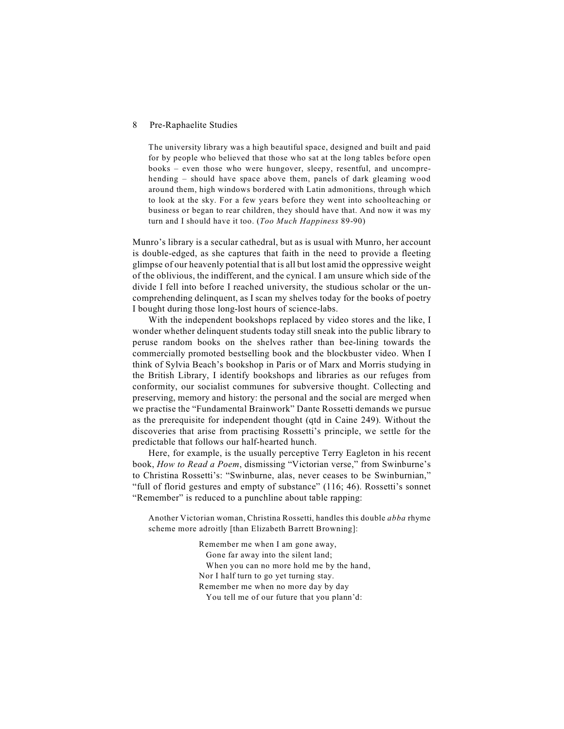#### 8 Pre-Raphaelite Studies

The university library was a high beautiful space, designed and built and paid for by people who believed that those who sat at the long tables before open books – even those who were hungover, sleepy, resentful, and uncomprehending – should have space above them, panels of dark gleaming wood around them, high windows bordered with Latin admonitions, through which to look at the sky. For a few years before they went into schoolteaching or business or began to rear children, they should have that. And now it was my turn and I should have it too. (*Too Much Happiness* 89-90)

Munro's library is a secular cathedral, but as is usual with Munro, her account is double-edged, as she captures that faith in the need to provide a fleeting glimpse of our heavenly potential that is all but lost amid the oppressive weight of the oblivious, the indifferent, and the cynical. I am unsure which side of the divide I fell into before I reached university, the studious scholar or the uncomprehending delinquent, as I scan my shelves today for the books of poetry I bought during those long-lost hours of science-labs.

With the independent bookshops replaced by video stores and the like, I wonder whether delinquent students today still sneak into the public library to peruse random books on the shelves rather than bee-lining towards the commercially promoted bestselling book and the blockbuster video. When I think of Sylvia Beach's bookshop in Paris or of Marx and Morris studying in the British Library, I identify bookshops and libraries as our refuges from conformity, our socialist communes for subversive thought. Collecting and preserving, memory and history: the personal and the social are merged when we practise the "Fundamental Brainwork" Dante Rossetti demands we pursue as the prerequisite for independent thought (qtd in Caine 249). Without the discoveries that arise from practising Rossetti's principle, we settle for the predictable that follows our half-hearted hunch.

Here, for example, is the usually perceptive Terry Eagleton in his recent book, *How to Read a Poem*, dismissing "Victorian verse," from Swinburne's to Christina Rossetti's: "Swinburne, alas, never ceases to be Swinburnian," "full of florid gestures and empty of substance" (116; 46). Rossetti's sonnet "Remember" is reduced to a punchline about table rapping:

Another Victorian woman, Christina Rossetti, handles this double *abba* rhyme scheme more adroitly [than Elizabeth Barrett Browning]:

> Remember me when I am gone away, Gone far away into the silent land; When you can no more hold me by the hand, Nor I half turn to go yet turning stay. Remember me when no more day by day You tell me of our future that you plann'd: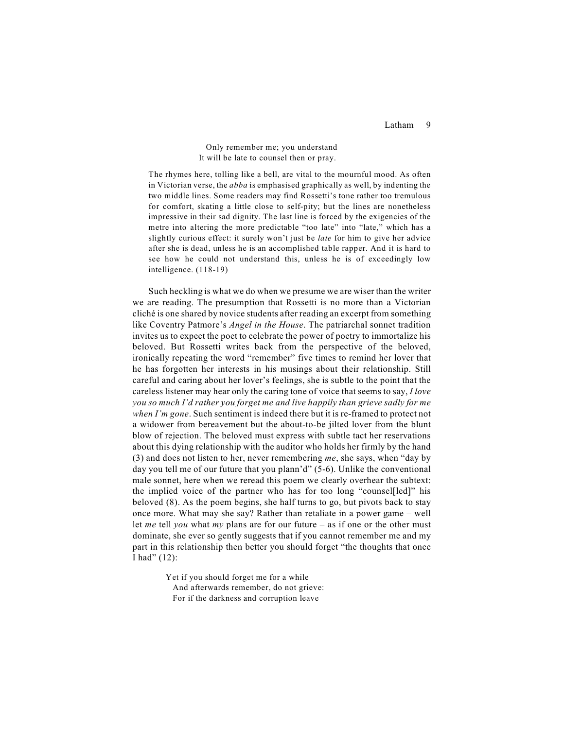Latham 9

 Only remember me; you understand It will be late to counsel then or pray.

The rhymes here, tolling like a bell, are vital to the mournful mood. As often in Victorian verse, the *abba* is emphasised graphically as well, by indenting the two middle lines. Some readers may find Rossetti's tone rather too tremulous for comfort, skating a little close to self-pity; but the lines are nonetheless impressive in their sad dignity. The last line is forced by the exigencies of the metre into altering the more predictable "too late" into "late," which has a slightly curious effect: it surely won't just be *late* for him to give her advice after she is dead, unless he is an accomplished table rapper. And it is hard to see how he could not understand this, unless he is of exceedingly low intelligence. (118-19)

Such heckling is what we do when we presume we are wiser than the writer we are reading. The presumption that Rossetti is no more than a Victorian cliché is one shared by novice students after reading an excerpt from something like Coventry Patmore's *Angel in the House*. The patriarchal sonnet tradition invites us to expect the poet to celebrate the power of poetry to immortalize his beloved. But Rossetti writes back from the perspective of the beloved, ironically repeating the word "remember" five times to remind her lover that he has forgotten her interests in his musings about their relationship. Still careful and caring about her lover's feelings, she is subtle to the point that the careless listener may hear only the caring tone of voice that seems to say, *I love you so much I'd rather you forget me and live happily than grieve sadly for me when I'm gone*. Such sentiment is indeed there but it is re-framed to protect not a widower from bereavement but the about-to-be jilted lover from the blunt blow of rejection. The beloved must express with subtle tact her reservations about this dying relationship with the auditor who holds her firmly by the hand (3) and does not listen to her, never remembering *me*, she says, when "day by day you tell me of our future that you plann'd" (5-6). Unlike the conventional male sonnet, here when we reread this poem we clearly overhear the subtext: the implied voice of the partner who has for too long "counsel[led]" his beloved (8). As the poem begins, she half turns to go, but pivots back to stay once more. What may she say? Rather than retaliate in a power game – well let *me* tell *you* what *my* plans are for our future – as if one or the other must dominate, she ever so gently suggests that if you cannot remember me and my part in this relationship then better you should forget "the thoughts that once I had" (12):

> Yet if you should forget me for a while And afterwards remember, do not grieve: For if the darkness and corruption leave